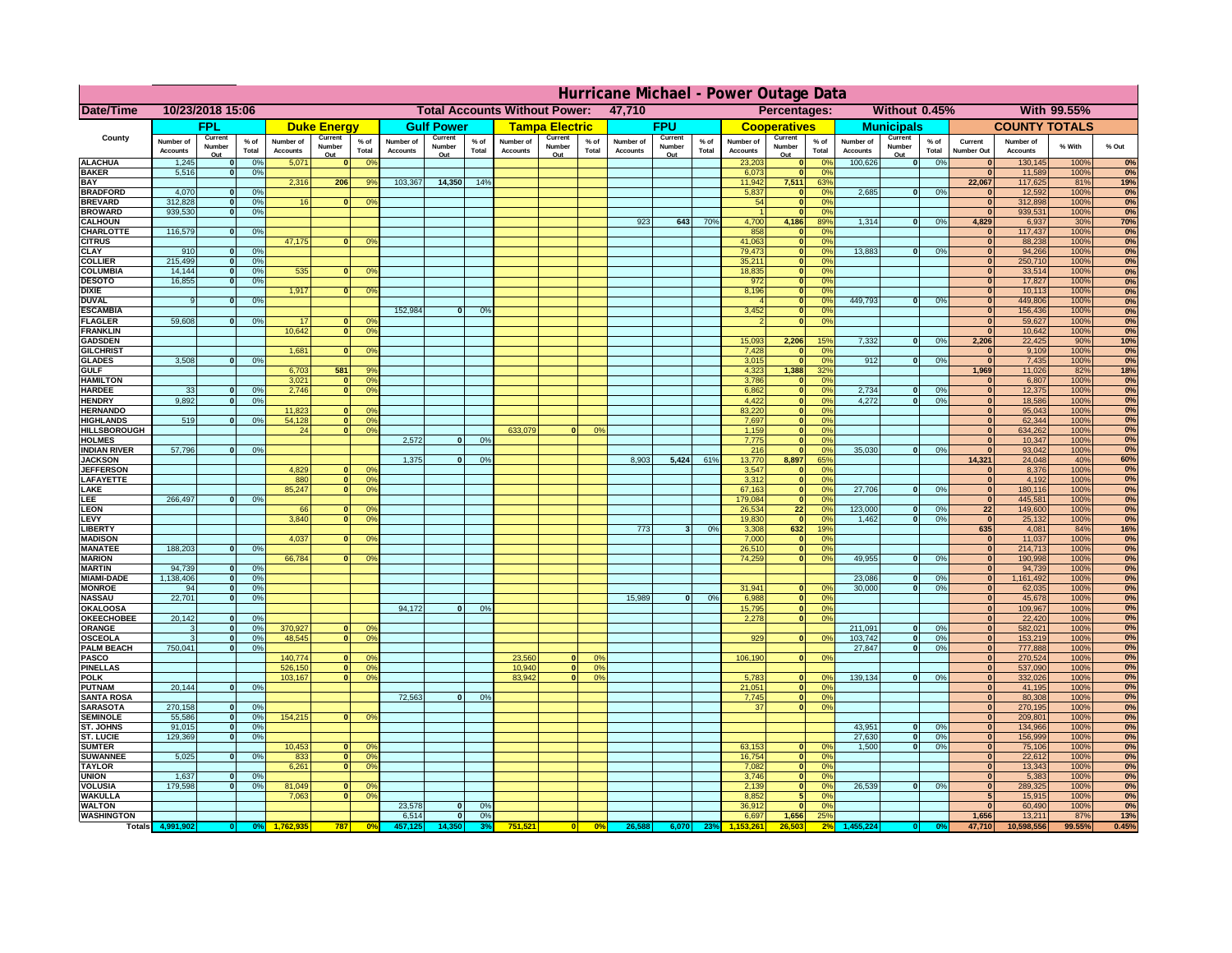|                                         | Hurricane Michael - Power Outage Data |                             |                      |                              |                                  |                                                |                              |                       |                |                              |                   |                                              |                              |                   |                   |                              |                      |                       |                              |                         |                 |                              |                              |              |              |
|-----------------------------------------|---------------------------------------|-----------------------------|----------------------|------------------------------|----------------------------------|------------------------------------------------|------------------------------|-----------------------|----------------|------------------------------|-------------------|----------------------------------------------|------------------------------|-------------------|-------------------|------------------------------|----------------------|-----------------------|------------------------------|-------------------------|-----------------|------------------------------|------------------------------|--------------|--------------|
| Date/Time                               | 10/23/2018 15:06                      |                             |                      |                              |                                  | <b>Total Accounts Without Power:</b><br>47,710 |                              |                       |                |                              |                   | Without 0.45%<br>With 99.55%<br>Percentages: |                              |                   |                   |                              |                      |                       |                              |                         |                 |                              |                              |              |              |
|                                         | <b>FPL</b>                            |                             | <b>Duke Energy</b>   |                              |                                  | <b>Gulf Power</b>                              |                              | <b>Tampa Electric</b> |                | <b>FPU</b>                   |                   |                                              | <b>Cooperatives</b>          |                   | <b>Municipals</b> |                              |                      | <b>COUNTY TOTALS</b>  |                              |                         |                 |                              |                              |              |              |
| County                                  | Number of<br><b>Accounts</b>          | Current<br>Number           | $%$ of<br>Total      | Number of<br><b>Accounts</b> | Current<br>Number                | $%$ of<br>Total                                | Number of<br><b>Accounts</b> | Current<br>Number     | % of<br>Total  | Number of<br><b>Accounts</b> | Current<br>Number | $%$ of<br>Total                              | Number of<br><b>Accounts</b> | Current<br>Number | $%$ of<br>Total   | Number of<br><b>Accounts</b> | Current<br>Number    | $%$ of<br>Total       | Number of<br><b>Accounts</b> | Current<br>Number       | $%$ of<br>Total | Current<br><b>Number Out</b> | Number of<br><b>Accounts</b> | % With       | % Out        |
| <b>ALACHUA</b>                          | 1,245                                 | Out<br>$\mathbf{0}$         | 0%                   | 5,071                        | Out<br>$\bf{0}$                  | 0 <sup>9</sup>                                 |                              | Out                   |                |                              | Out               |                                              |                              | Out               |                   | 23,203                       | Out<br> 0            | 0 <sup>9</sup>        | 100,626                      | Out<br> 0               | 0%              | $\bf{0}$                     | 130,145                      | 100%         | 0%           |
| <b>BAKER</b>                            | 5,516                                 | 0                           | 0%                   |                              |                                  |                                                |                              |                       |                |                              |                   |                                              |                              |                   |                   | 6,073                        | 0                    | 0%                    |                              |                         |                 | $\overline{0}$               | 11,589                       | 100%         | 0%           |
| <b>BAY</b><br><b>BRADFORD</b>           | 4,070                                 | $\mathbf{0}$                | 0%                   | 2,316                        | 206                              | 9%                                             | 103,367                      | 14,350                | 14%            |                              |                   |                                              |                              |                   |                   | 11,942<br>5,837              | 7,511<br> 0          | 63%<br>0%             | 2,685                        | 0                       | 0%              | 22,067                       | 117,625<br>12,592            | 81%<br>100%  | 19%<br>0%    |
| <b>BREVARD</b>                          | 312,828                               | 0                           | 0%                   | 16                           | 0                                | 0 <sup>o</sup>                                 |                              |                       |                |                              |                   |                                              |                              |                   |                   | 54                           | 0                    | 0%                    |                              |                         |                 | $\mathbf{0}$                 | 312,898                      | 100%         | 0%           |
| <b>BROWARD</b>                          | 939.530                               | 0                           | 0%                   |                              |                                  |                                                |                              |                       |                |                              |                   |                                              |                              |                   |                   |                              | 0                    | 0%                    |                              |                         |                 | $\bf{0}$                     | 939,531                      | 100%         | 0%           |
| <b>CALHOUN</b><br>CHARLOTTE             | 116,579                               | 0                           | 0%                   |                              |                                  |                                                |                              |                       |                |                              |                   |                                              | 923                          | 643               | 70%               | 4,700<br>858                 | 4,186<br> 0          | 89%<br>0%             | 1,314                        | 0                       | 0%              | 4,829<br>$\bf{0}$            | 6,937<br>117,437             | 30%<br>100%  | 70%<br>0%    |
| <b>CITRUS</b>                           |                                       |                             |                      | 47,175                       | $\mathbf{0}$                     | 0 <sup>o</sup>                                 |                              |                       |                |                              |                   |                                              |                              |                   |                   | 41,063                       | 0                    | 0 <sup>9</sup>        |                              |                         |                 | $\bf{0}$                     | 88,238                       | 100%         | 0%           |
| <b>CLAY</b>                             | 910                                   | $\mathbf{0}$                | 0%                   |                              |                                  |                                                |                              |                       |                |                              |                   |                                              |                              |                   |                   | 79,473                       | 0                    | 0 <sup>9</sup>        | 13,883                       | $\mathbf{0}$            | 0%              | $\bf{0}$                     | 94,266                       | 100%         | 0%           |
| <b>COLLIER</b><br><b>COLUMBIA</b>       | 215,499<br>14,144                     | $\mathbf{0}$<br>$\mathbf 0$ | 0 <sup>9</sup><br>0% | 535                          | $\mathbf{0}$                     | 0 <sup>9</sup>                                 |                              |                       |                |                              |                   |                                              |                              |                   |                   | 35,211<br>18,835             | 0 <br> 0             | 0%<br>0%              |                              |                         |                 | $\bf{0}$<br>$\bf{0}$         | 250,710<br>33,514            | 100%<br>100% | 0%<br>0%     |
| <b>DESOTO</b>                           | 16,855                                | $\mathbf{0}$                | 0%                   |                              |                                  |                                                |                              |                       |                |                              |                   |                                              |                              |                   |                   | 972                          | 0                    | 0%                    |                              |                         |                 | $\bf{0}$                     | 17,827                       | 100%         | 0%           |
| <b>DIXIE</b>                            |                                       |                             |                      | 1,917                        | $\mathbf{0}$                     | 0 <sup>9</sup>                                 |                              |                       |                |                              |                   |                                              |                              |                   |                   | 8,196                        | 0                    | 0%                    |                              |                         |                 | $\Omega$                     | 10,113                       | 100%         | 0%           |
| <b>DUVAL</b><br><b>ESCAMBIA</b>         | 9                                     | $\Omega$                    | 0%                   |                              |                                  |                                                | 152,984                      | $\mathbf{0}$          | 0 <sup>o</sup> |                              |                   |                                              |                              |                   |                   | 3,452                        | 0 <br> 0             | 0%<br>0%              | 449.793                      | $\overline{0}$          | 0%              | $\Omega$<br>$\Omega$         | 449,806<br>156,436           | 100%<br>100% | 0%<br>0%     |
| <b>FLAGLER</b>                          | 59,608                                | $\overline{0}$              | 0%                   | 17                           | $\bf{0}$                         | 0 <sup>o</sup>                                 |                              |                       |                |                              |                   |                                              |                              |                   |                   |                              | 0                    | 0%                    |                              |                         |                 | $\mathbf{0}$                 | 59,627                       | 100%         | 0%           |
| <b>FRANKLIN</b>                         |                                       |                             |                      | 10,642                       | 0                                | 0 <sup>9</sup>                                 |                              |                       |                |                              |                   |                                              |                              |                   |                   |                              |                      |                       |                              |                         |                 | $\Omega$                     | 10,642                       | 100%         | 0%           |
| <b>GADSDEN</b><br><b>GILCHRIST</b>      |                                       |                             |                      | 1,681                        | $\Omega$                         | 0 <sup>9</sup>                                 |                              |                       |                |                              |                   |                                              |                              |                   |                   | 15,093<br>7,428              | 2,206<br> 0          | 15%<br>0%             | 7,332                        | 0                       | 0%              | 2,206<br>$\mathbf{0}$        | 22,425<br>9,109              | 90%<br>100%  | 10%<br>0%    |
| <b>GLADES</b>                           | 3,508                                 | 0                           | 0%                   |                              |                                  |                                                |                              |                       |                |                              |                   |                                              |                              |                   |                   | 3,015                        | 0                    | 0%                    | 912                          | $\overline{0}$          | 0%              | 0                            | 7,435                        | 100%         | 0%           |
| <b>GULF</b>                             |                                       |                             |                      | 6,703                        | 581                              | 9%                                             |                              |                       |                |                              |                   |                                              |                              |                   |                   | 4,323                        | 1,388                | 32%                   |                              |                         |                 | 1,969                        | 11,026                       | 82%          | 18%          |
| <b>HAMILTON</b><br><b>HARDEE</b>        | 33                                    | $\overline{0}$              | 0%                   | 3,021<br>2.746               | $\overline{0}$<br>$\overline{0}$ | 0 <sup>9</sup><br>0 <sup>9</sup>               |                              |                       |                |                              |                   |                                              |                              |                   |                   | 3,786<br>6.862               | 0 <br>$\overline{0}$ | 0%<br>0%              | 2.734                        | $\mathbf{0}$            | 0%              | $\Omega$<br> 0               | 6,807<br>12,375              | 100%<br>100% | 0%<br>0%     |
| <b>HENDRY</b>                           | 9,892                                 | $\Omega$                    | 0%                   |                              |                                  |                                                |                              |                       |                |                              |                   |                                              |                              |                   |                   | 4,422                        | 0                    | 0%                    | 4,272                        | $\Omega$                | 0%              | 0                            | 18,586                       | 100%         | 0%           |
| <b>HERNANDO</b>                         |                                       |                             |                      | 11,823                       | $\mathbf{0}$                     | 0 <sup>9</sup>                                 |                              |                       |                |                              |                   |                                              |                              |                   |                   | 83,220                       | 0                    | 0%                    |                              |                         |                 | $\mathbf{0}$                 | 95,043                       | 100%         | 0%           |
| <b>HIGHLANDS</b><br><b>HILLSBOROUGH</b> | 519                                   | $\mathbf{0}$                | 0 <sup>9</sup>       | 54,128<br>24                 | 0 <br> 0                         | 0 <sup>9</sup><br>0 <sup>9</sup>               |                              |                       |                | 633,079                      |                   | 0%                                           |                              |                   |                   | 7,697<br>1,159               | 0 <br> 0             | 0%<br>0%              |                              |                         |                 | $\mathbf{0}$<br>$\mathbf{0}$ | 62,344<br>634,262            | 100%<br>100% | 0%<br>0%     |
| <b>HOLMES</b>                           |                                       |                             |                      |                              |                                  |                                                | 2.572                        | $\mathbf{0}$          | 0%             |                              |                   |                                              |                              |                   |                   | 7,775                        | 0                    | 0%                    |                              |                         |                 | $\mathbf{0}$                 | 10,347                       | 100%         | 0%           |
| <b>INDIAN RIVER</b>                     | 57,796                                | $\mathbf{0}$                | 0%                   |                              |                                  |                                                |                              |                       |                |                              |                   |                                              |                              |                   |                   | 216                          | 0                    | 0%                    | 35,030                       | $\mathbf{0}$            | 0%              | $\mathbf{0}$                 | 93,042                       | 100%         | 0%           |
| <b>JACKSON</b><br><b>JEFFERSON</b>      |                                       |                             |                      | 4.829                        | n l                              | 0 <sup>9</sup>                                 | 1.375                        | $\mathbf{0}$          | 0 <sup>9</sup> |                              |                   |                                              | 8.903                        | 5,424             | 61%               | 13,770<br>3.547              | 8.897<br> 0          | 65%<br>0%             |                              |                         |                 | 14.321<br> 0                 | 24,048<br>8.376              | 40%<br>100%  | 60%<br>0%    |
| LAFAYETTE                               |                                       |                             |                      | 880                          | 0                                | 0 <sup>9</sup>                                 |                              |                       |                |                              |                   |                                              |                              |                   |                   | 3.312                        | 0                    | 0%                    |                              |                         |                 | 0                            | 4.192                        | 100%         | 0%           |
| LAKE                                    |                                       |                             |                      | 85,247                       | $\mathbf{0}$                     | 0 <sup>9</sup>                                 |                              |                       |                |                              |                   |                                              |                              |                   |                   | 67,163                       | 0                    | 0%                    | 27,706                       | $\Omega$                | 0%              | 0                            | 180,116                      | 100%         | 0%           |
| <b>EE</b><br>LEON                       | 266,497                               | 0                           | 0%                   | 66                           | $\mathbf{0}$                     | 0 <sup>o</sup>                                 |                              |                       |                |                              |                   |                                              |                              |                   |                   | 179,084<br>26,534            | 0 <br>22             | 0%<br>0%              | 123,000                      | $\mathbf{0}$            | 0%              | 0 <br>22                     | 445,581<br>149,600           | 100%<br>100% | 0%<br>0%     |
| LEVY                                    |                                       |                             |                      | 3,840                        | $\Omega$                         | 0 <sup>9</sup>                                 |                              |                       |                |                              |                   |                                              |                              |                   |                   | 19,830                       | 0                    | 0 <sup>9</sup>        | 1,462                        | -ol                     | 0%              | 0                            | 25,132                       | 100%         | 0%           |
| <b>LIBERTY</b>                          |                                       |                             |                      |                              |                                  |                                                |                              |                       |                |                              |                   |                                              | 773                          | $\mathbf{3}$      | 0%                | 3,308                        | 632                  | 19%                   |                              |                         |                 | 635                          | 4,081                        | 84%          | 16%          |
| <b>MADISON</b><br><b>MANATEE</b>        | 188,203                               | 0                           | 0%                   | 4,037                        | $\Omega$                         | 0 <sup>9</sup>                                 |                              |                       |                |                              |                   |                                              |                              |                   |                   | 7,000<br>26,510              | 0 <br> 0             | 0%<br>0%              |                              |                         |                 | 0 <br> 0                     | 11,037<br>214,713            | 100%<br>100% | 0%<br>0%     |
| <b>MARION</b>                           |                                       |                             |                      | 66,784                       | 0                                | 0 <sup>9</sup>                                 |                              |                       |                |                              |                   |                                              |                              |                   |                   | 74,259                       | 0                    | 0%                    | 49,955                       | $\Omega$                | 0%              | 0                            | 190,998                      | 100%         | 0%           |
| <b>MARTIN</b>                           | 94,739                                | 0                           | 0%                   |                              |                                  |                                                |                              |                       |                |                              |                   |                                              |                              |                   |                   |                              |                      |                       |                              |                         |                 | 0                            | 94,739                       | 100%         | 0%           |
| <b>MIAMI-DADE</b><br><b>MONROE</b>      | 1,138,406<br>94                       | 0 <br> 0                    | 0%<br>0%             |                              |                                  |                                                |                              |                       |                |                              |                   |                                              |                              |                   |                   | 31,941                       | $\overline{0}$       | 0 <sup>9</sup>        | 23,086<br>30,000             | $\mathbf{0}$<br> 0      | 0%<br>0%        | 0 <br> 0                     | 1,161,492<br>62,035          | 100%<br>100% | 0%<br>0%     |
| <b>NASSAU</b>                           | 22,701                                | 0                           | 0%                   |                              |                                  |                                                |                              |                       |                |                              |                   |                                              | 15,989                       | 0                 | 0%                | 6,988                        | 0                    | 0%                    |                              |                         |                 | 0                            | 45,678                       | 100%         | 0%           |
| <b>OKALOOSA</b>                         |                                       |                             |                      |                              |                                  |                                                | 94,172                       | $\mathbf{0}$          | 0%             |                              |                   |                                              |                              |                   |                   | 15,795                       | 0                    | 0%                    |                              |                         |                 | 0                            | 109,967                      | 100%         | 0%           |
| <b>OKEECHOBEE</b><br>ORANGE             | 20,142<br>3                           | 0 <br> 0                    | 0%<br>0%             | 370,927                      | 0                                | 0 <sup>o</sup>                                 |                              |                       |                |                              |                   |                                              |                              |                   |                   | 2,278                        | 0                    | 0%                    | 211,091                      | $\overline{\mathbf{0}}$ | 0%              | 0 <br> 0                     | 22,420<br>582,021            | 100%<br>100% | 0%<br>0%     |
| <b>OSCEOLA</b>                          | 3                                     | 0                           | 0%                   | 48,545                       | 0                                | 0 <sup>9</sup>                                 |                              |                       |                |                              |                   |                                              |                              |                   |                   | 929                          | 0                    | 0%                    | 103,742                      | 0                       | 0%              | 0                            | 153,219                      | 100%         | 0%           |
| <b>PALM BEACH</b>                       | 750,041                               | 0                           | 0%                   |                              |                                  |                                                |                              |                       |                |                              |                   |                                              |                              |                   |                   |                              |                      |                       | 27,847                       | $\overline{\mathbf{0}}$ | 0%              | 0                            | 777,888                      | 100%         | 0%           |
| <b>PASCO</b><br><b>PINELLAS</b>         |                                       |                             |                      | 140,774<br>526,150           | $\Omega$<br> 0                   | $^{\circ}$<br>0 <sup>9</sup>                   |                              |                       |                | 23,560<br>10,940             | $\Omega$<br> 0    | $^{\circ}$<br>0%                             |                              |                   |                   | 106,190                      | 0                    | 0%                    |                              |                         |                 | 0 <br>$\Omega$               | 270,524<br>537,090           | 100%<br>100% | 0%<br>0%     |
| <b>POLK</b>                             |                                       |                             |                      | 103,167                      | 0                                | 0 <sup>9</sup>                                 |                              |                       |                | 83,942                       | $\mathbf{a}$      | 0%                                           |                              |                   |                   | 5,783                        | 0                    | $\Omega$              | 139,134                      | 0                       | 0%              | 0                            | 332,026                      | 100%         | 0%           |
| <b>PUTNAM</b>                           | 20,144                                | 0                           | 0%                   |                              |                                  |                                                |                              |                       |                |                              |                   |                                              |                              |                   |                   | 21,051                       | $\ddot{\textbf{0}}$  | 0%                    |                              |                         |                 | $\bf{0}$                     | 41,195                       | 100%         | 0%           |
| <b>SANTA ROSA</b><br><b>SARASOTA</b>    | 270,158                               | 0                           | 0%                   |                              |                                  |                                                | 72,563                       | 0                     | 0%             |                              |                   |                                              |                              |                   |                   | 7,745<br>37                  | 0 <br> 0             | 0%<br>0%              |                              |                         |                 | $\mathbf{0}$<br> 0           | 80,308<br>270,195            | 100%<br>100% | 0%<br>0%     |
| <b>SEMINOLE</b>                         | 55,586                                | 0                           | 0%                   | 154,215                      | $\mathbf{0}$                     | 0 <sup>9</sup>                                 |                              |                       |                |                              |                   |                                              |                              |                   |                   |                              |                      |                       |                              |                         |                 | 0                            | 209,801                      | 100%         | 0%           |
| <b>ST. JOHNS</b>                        | 91,015                                | 0                           | 0%                   |                              |                                  |                                                |                              |                       |                |                              |                   |                                              |                              |                   |                   |                              |                      |                       | 43,951                       | -ol                     | 0%              | 0                            | 134,966                      | 100%         | 0%           |
| <b>ST. LUCIE</b><br><b>SUMTER</b>       | 129.369                               | $\mathbf{0}$                | 0%                   | 10,453                       | $\overline{0}$                   | 0 <sup>9</sup>                                 |                              |                       |                |                              |                   |                                              |                              |                   |                   | 63,153                       | 0                    | 0%                    | 27.630<br>1.500              | - O I<br>0              | 0%<br>0%        | 0 <br> 0                     | 156,999<br>75,106            | 100%<br>100% | 0%<br>0%     |
| <b>SUWANNEE</b>                         | 5,025                                 | 0                           | 0%                   | 833                          | 0                                | 0 <sup>o</sup>                                 |                              |                       |                |                              |                   |                                              |                              |                   |                   | 16,754                       | 0                    | 0%                    |                              |                         |                 | $\mathbf{0}$                 | 22,612                       | 100%         | 0%           |
| <b>TAYLOR</b>                           |                                       |                             |                      | 6,261                        | 0                                | 0 <sup>9</sup>                                 |                              |                       |                |                              |                   |                                              |                              |                   |                   | 7,082                        | 0                    | 0%                    |                              |                         |                 | $\bf{0}$                     | 13,343                       | 100%         | 0%           |
| <b>UNION</b><br><b>VOLUSIA</b>          | 1,637<br>179,598                      | $\mathbf{0}$<br>0           | 0%<br>0%             | 81,049                       | $\mathbf{0}$                     | $\mathbf{0}$                                   |                              |                       |                |                              |                   |                                              |                              |                   |                   | 3,746<br>2,139               | 0 <br> 0             | 0%<br>0%              | 26,539                       | 0                       | 0%              | $\bf{0}$<br>$\bf{0}$         | 5,383<br>289,325             | 100%<br>100% | 0%<br>0%     |
| <b>WAKULLA</b>                          |                                       |                             |                      | 7,063                        | $\mathbf{0}$                     | 0 <sup>9</sup>                                 |                              |                       |                |                              |                   |                                              |                              |                   |                   | 8,852                        | 5 <sub>5</sub>       | 0%                    |                              |                         |                 | 5                            | 15,915                       | 100%         | 0%           |
| <b>WALTON</b>                           |                                       |                             |                      |                              |                                  |                                                | 23,578                       | $\mathbf{0}$          | 0%             |                              |                   |                                              |                              |                   |                   | 36,912                       | 0                    | 0%                    |                              |                         |                 | $\mathbf{0}$                 | 60,490                       | 100%         | 0%           |
| <b>WASHINGTON</b>                       |                                       |                             |                      |                              | 787                              | 0 <sup>6</sup>                                 | 6,514                        | 0                     | 0%             |                              |                   |                                              |                              |                   |                   | 6,697                        | 1,656<br>26.503      | 25%<br>$\overline{2}$ |                              |                         |                 | 1,656<br>47,710              | 13,211                       | 87%          | 13%<br>0.45% |
| <b>Totals</b>                           |                                       |                             |                      |                              |                                  |                                                |                              | 14,350                |                | 751,521                      | 0                 | 0%                                           | 26,588                       | 6,070             | 23%               |                              |                      |                       |                              |                         |                 |                              | 10,598,556                   | 99.55%       |              |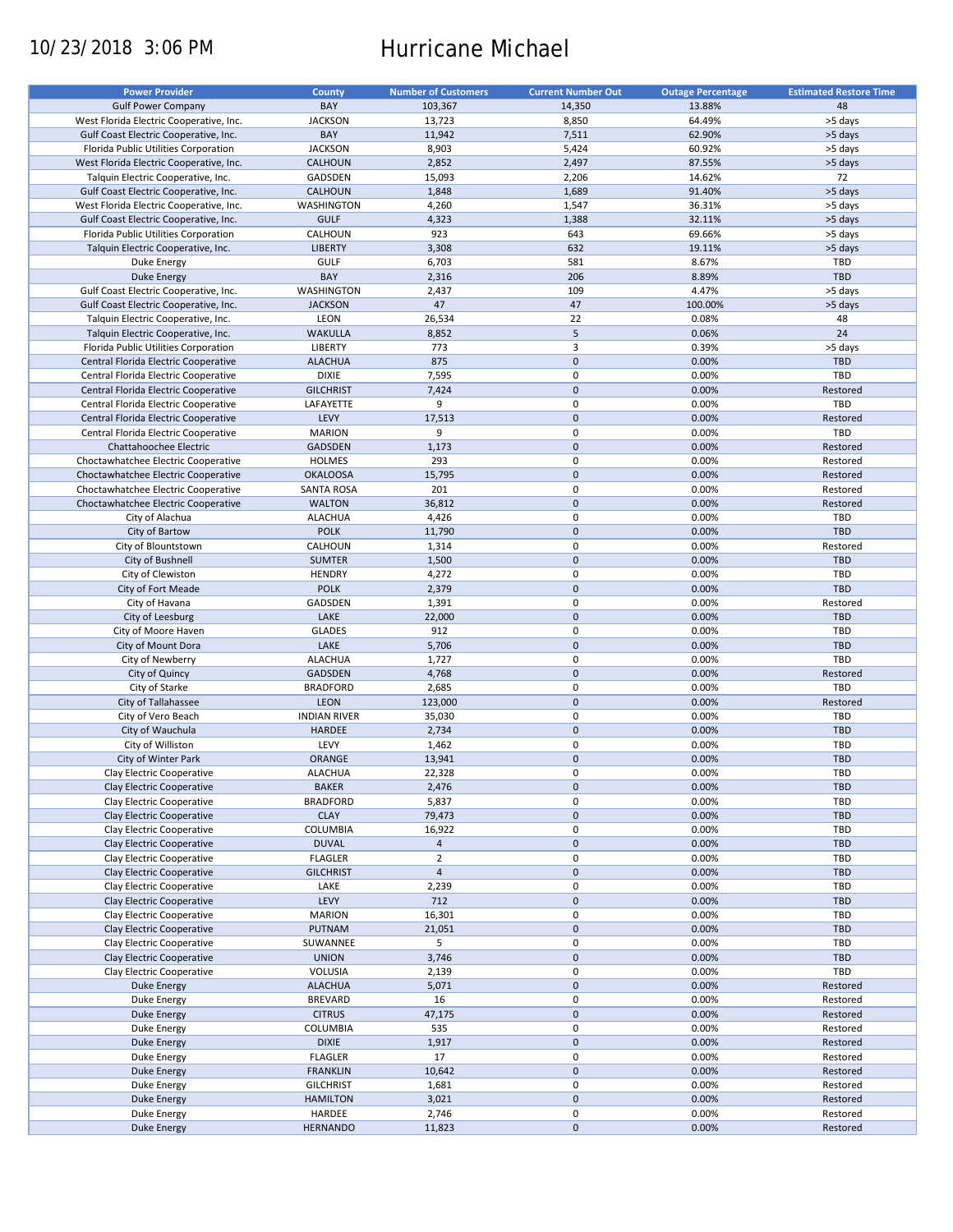# 10/23/2018 3:06 PM Hurricane Michael

| <b>Power Provider</b>                   | <b>County</b>       | <b>Number of Customers</b> | <b>Current Number Out</b> | <b>Outage Percentage</b> | <b>Estimated Restore Time</b> |
|-----------------------------------------|---------------------|----------------------------|---------------------------|--------------------------|-------------------------------|
| <b>Gulf Power Company</b>               | BAY                 | 103,367                    | 14,350                    | 13.88%                   | 48                            |
|                                         |                     |                            |                           |                          |                               |
| West Florida Electric Cooperative, Inc. | <b>JACKSON</b>      | 13,723                     | 8,850                     | 64.49%                   | >5 days                       |
| Gulf Coast Electric Cooperative, Inc.   | BAY                 | 11,942                     | 7,511                     | 62.90%                   | >5 days                       |
| Florida Public Utilities Corporation    | <b>JACKSON</b>      | 8,903                      | 5,424                     | 60.92%                   | >5 days                       |
| West Florida Electric Cooperative, Inc. | CALHOUN             | 2,852                      | 2,497                     | 87.55%                   | >5 days                       |
| Talquin Electric Cooperative, Inc.      | GADSDEN             | 15,093                     | 2,206                     | 14.62%                   | 72                            |
| Gulf Coast Electric Cooperative, Inc.   | CALHOUN             | 1,848                      | 1,689                     | 91.40%                   | >5 days                       |
| West Florida Electric Cooperative, Inc. | WASHINGTON          | 4,260                      | 1,547                     | 36.31%                   | >5 days                       |
| Gulf Coast Electric Cooperative, Inc.   | <b>GULF</b>         | 4,323                      | 1,388                     | 32.11%                   | >5 days                       |
| Florida Public Utilities Corporation    | CALHOUN             | 923                        | 643                       | 69.66%                   | >5 days                       |
| Talquin Electric Cooperative, Inc.      | <b>LIBERTY</b>      | 3,308                      | 632                       | 19.11%                   | >5 days                       |
|                                         |                     |                            |                           |                          |                               |
| Duke Energy                             | <b>GULF</b>         | 6,703                      | 581                       | 8.67%                    | TBD                           |
| <b>Duke Energy</b>                      | BAY                 | 2,316                      | 206                       | 8.89%                    | <b>TBD</b>                    |
| Gulf Coast Electric Cooperative, Inc.   | WASHINGTON          | 2,437                      | 109                       | 4.47%                    | >5 days                       |
| Gulf Coast Electric Cooperative, Inc.   | <b>JACKSON</b>      | 47                         | 47                        | 100.00%                  | >5 days                       |
| Talquin Electric Cooperative, Inc.      | LEON                | 26,534                     | 22                        | 0.08%                    | 48                            |
| Talquin Electric Cooperative, Inc.      | <b>WAKULLA</b>      | 8,852                      | 5                         | 0.06%                    | 24                            |
| Florida Public Utilities Corporation    | <b>LIBERTY</b>      | 773                        | 3                         | 0.39%                    | >5 days                       |
| Central Florida Electric Cooperative    | <b>ALACHUA</b>      | 875                        | $\pmb{0}$                 | 0.00%                    | <b>TBD</b>                    |
| Central Florida Electric Cooperative    | <b>DIXIE</b>        | 7,595                      | $\pmb{0}$                 | 0.00%                    | <b>TBD</b>                    |
|                                         |                     |                            |                           |                          |                               |
| Central Florida Electric Cooperative    | <b>GILCHRIST</b>    | 7,424                      | $\pmb{0}$                 | 0.00%                    | Restored                      |
| Central Florida Electric Cooperative    | LAFAYETTE           | 9                          | $\pmb{0}$                 | 0.00%                    | TBD                           |
| Central Florida Electric Cooperative    | LEVY                | 17,513                     | $\pmb{0}$                 | 0.00%                    | Restored                      |
| Central Florida Electric Cooperative    | <b>MARION</b>       | 9                          | $\pmb{0}$                 | 0.00%                    | TBD                           |
| Chattahoochee Electric                  | <b>GADSDEN</b>      | 1,173                      | $\pmb{0}$                 | 0.00%                    | Restored                      |
| Choctawhatchee Electric Cooperative     | <b>HOLMES</b>       | 293                        | $\pmb{0}$                 | 0.00%                    | Restored                      |
| Choctawhatchee Electric Cooperative     | <b>OKALOOSA</b>     | 15,795                     | $\pmb{0}$                 | 0.00%                    | Restored                      |
| Choctawhatchee Electric Cooperative     | <b>SANTA ROSA</b>   | 201                        | $\pmb{0}$                 | 0.00%                    | Restored                      |
|                                         |                     |                            |                           |                          |                               |
| Choctawhatchee Electric Cooperative     | <b>WALTON</b>       | 36,812                     | $\pmb{0}$                 | 0.00%                    | Restored                      |
| City of Alachua                         | <b>ALACHUA</b>      | 4,426                      | $\pmb{0}$                 | 0.00%                    | TBD                           |
| City of Bartow                          | <b>POLK</b>         | 11,790                     | $\pmb{0}$                 | 0.00%                    | <b>TBD</b>                    |
| City of Blountstown                     | CALHOUN             | 1,314                      | $\pmb{0}$                 | 0.00%                    | Restored                      |
| City of Bushnell                        | <b>SUMTER</b>       | 1,500                      | $\pmb{0}$                 | 0.00%                    | <b>TBD</b>                    |
| City of Clewiston                       | <b>HENDRY</b>       | 4,272                      | 0                         | 0.00%                    | TBD                           |
| City of Fort Meade                      | <b>POLK</b>         | 2,379                      | $\mathbf 0$               | 0.00%                    | <b>TBD</b>                    |
| City of Havana                          | GADSDEN             | 1,391                      | $\pmb{0}$                 | 0.00%                    | Restored                      |
| City of Leesburg                        | LAKE                | 22,000                     | $\mathbf 0$               | 0.00%                    | <b>TBD</b>                    |
|                                         |                     |                            |                           |                          |                               |
| City of Moore Haven                     | <b>GLADES</b>       | 912                        | $\pmb{0}$                 | 0.00%                    | TBD                           |
| City of Mount Dora                      | LAKE                | 5,706                      | $\pmb{0}$                 | 0.00%                    | <b>TBD</b>                    |
| City of Newberry                        | <b>ALACHUA</b>      | 1,727                      | 0                         | 0.00%                    | TBD                           |
| City of Quincy                          | <b>GADSDEN</b>      | 4,768                      | $\mathbf 0$               | 0.00%                    | Restored                      |
| City of Starke                          | <b>BRADFORD</b>     | 2,685                      | $\pmb{0}$                 | 0.00%                    | TBD                           |
| City of Tallahassee                     | <b>LEON</b>         | 123,000                    | $\mathbf 0$               | 0.00%                    | Restored                      |
| City of Vero Beach                      | <b>INDIAN RIVER</b> | 35,030                     | $\pmb{0}$                 | 0.00%                    | TBD                           |
| City of Wauchula                        | <b>HARDEE</b>       | 2,734                      | $\mathbf 0$               | 0.00%                    | <b>TBD</b>                    |
|                                         | LEVY                |                            | $\pmb{0}$                 | 0.00%                    | TBD                           |
| City of Williston                       |                     | 1,462                      |                           |                          |                               |
| City of Winter Park                     | <b>ORANGE</b>       | 13,941                     | $\pmb{0}$                 | 0.00%                    | <b>TBD</b>                    |
| Clay Electric Cooperative               | <b>ALACHUA</b>      | 22,328                     | $\pmb{0}$                 | 0.00%                    | <b>TBD</b>                    |
| Clay Electric Cooperative               | <b>BAKER</b>        | 2,476                      | $\pmb{0}$                 | 0.00%                    | <b>TBD</b>                    |
| Clay Electric Cooperative               | <b>BRADFORD</b>     | 5,837                      | 0                         | 0.00%                    | TBD                           |
| Clay Electric Cooperative               | <b>CLAY</b>         | 79,473                     | $\pmb{0}$                 | 0.00%                    | <b>TBD</b>                    |
| Clay Electric Cooperative               | COLUMBIA            | 16,922                     | 0                         | 0.00%                    | TBD                           |
| Clay Electric Cooperative               | <b>DUVAL</b>        | $\overline{4}$             | $\pmb{0}$                 | 0.00%                    | <b>TBD</b>                    |
| Clay Electric Cooperative               | <b>FLAGLER</b>      | $\overline{2}$             | 0                         | 0.00%                    | TBD                           |
|                                         |                     | $\overline{4}$             | $\pmb{0}$                 |                          | <b>TBD</b>                    |
| Clay Electric Cooperative               | <b>GILCHRIST</b>    |                            |                           | 0.00%                    |                               |
| Clay Electric Cooperative               | LAKE                | 2,239                      | 0                         | 0.00%                    | TBD                           |
| Clay Electric Cooperative               | LEVY                | 712                        | $\pmb{0}$                 | 0.00%                    | TBD                           |
| Clay Electric Cooperative               | MARION              | 16,301                     | 0                         | 0.00%                    | TBD                           |
| Clay Electric Cooperative               | PUTNAM              | 21,051                     | $\pmb{0}$                 | 0.00%                    | TBD                           |
| Clay Electric Cooperative               | SUWANNEE            | 5                          | 0                         | 0.00%                    | TBD                           |
| Clay Electric Cooperative               | <b>UNION</b>        | 3,746                      | $\pmb{0}$                 | 0.00%                    | TBD                           |
| Clay Electric Cooperative               | VOLUSIA             | 2,139                      | $\pmb{0}$                 | 0.00%                    | TBD                           |
|                                         |                     |                            | $\pmb{0}$                 |                          |                               |
| Duke Energy                             | <b>ALACHUA</b>      | 5,071                      |                           | 0.00%                    | Restored                      |
| Duke Energy                             | <b>BREVARD</b>      | 16                         | 0                         | 0.00%                    | Restored                      |
| <b>Duke Energy</b>                      | <b>CITRUS</b>       | 47,175                     | $\pmb{0}$                 | 0.00%                    | Restored                      |
| Duke Energy                             | COLUMBIA            | 535                        | $\pmb{0}$                 | 0.00%                    | Restored                      |
| <b>Duke Energy</b>                      | <b>DIXIE</b>        | 1,917                      | $\pmb{0}$                 | 0.00%                    | Restored                      |
| Duke Energy                             | <b>FLAGLER</b>      | 17                         | 0                         | 0.00%                    | Restored                      |
| <b>Duke Energy</b>                      | <b>FRANKLIN</b>     | 10,642                     | $\pmb{0}$                 | 0.00%                    | Restored                      |
| Duke Energy                             | <b>GILCHRIST</b>    | 1,681                      | 0                         | 0.00%                    | Restored                      |
|                                         |                     |                            | $\pmb{0}$                 |                          |                               |
| Duke Energy                             | <b>HAMILTON</b>     | 3,021                      |                           | 0.00%                    | Restored                      |
| Duke Energy                             | HARDEE              | 2,746                      | $\pmb{0}$                 | 0.00%                    | Restored                      |
| Duke Energy                             | <b>HERNANDO</b>     | 11,823                     | $\pmb{0}$                 | 0.00%                    | Restored                      |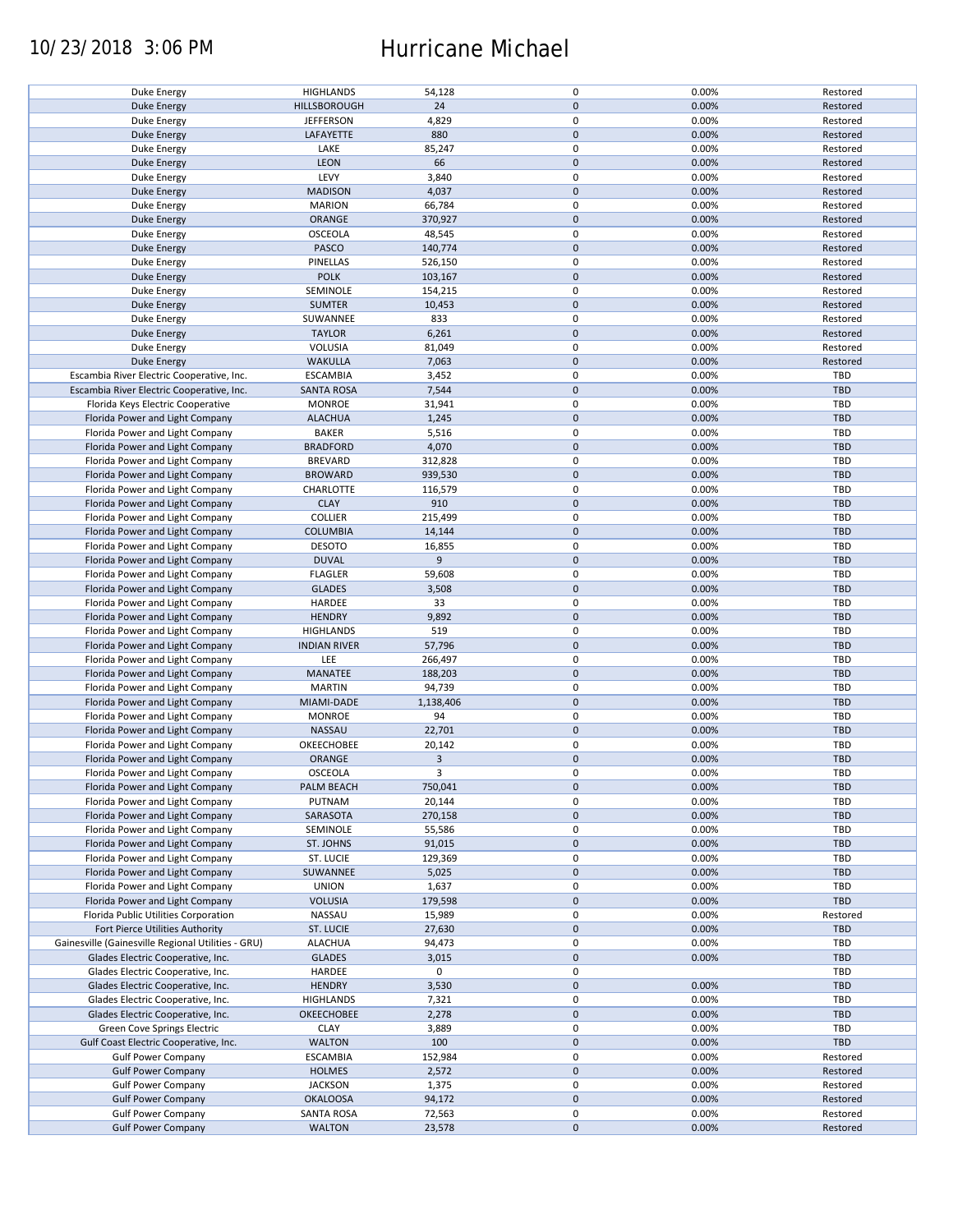### 10/23/2018 3:06 PM Hurricane Michael

| Duke Energy                                        | <b>HIGHLANDS</b>    | 54,128    | 0           | 0.00% | Restored   |
|----------------------------------------------------|---------------------|-----------|-------------|-------|------------|
| <b>Duke Energy</b>                                 | HILLSBOROUGH        | 24        | $\mathbf 0$ | 0.00% | Restored   |
|                                                    |                     |           |             |       |            |
| Duke Energy                                        | <b>JEFFERSON</b>    | 4,829     | 0           | 0.00% | Restored   |
|                                                    |                     |           |             |       |            |
| <b>Duke Energy</b>                                 | LAFAYETTE           | 880       | $\mathbf 0$ | 0.00% | Restored   |
| Duke Energy                                        | LAKE                | 85,247    | 0           | 0.00% | Restored   |
|                                                    |                     |           |             |       |            |
| <b>Duke Energy</b>                                 | <b>LEON</b>         | 66        | $\mathbf 0$ | 0.00% | Restored   |
| Duke Energy                                        | LEVY                | 3,840     | 0           | 0.00% | Restored   |
|                                                    |                     |           |             |       |            |
| Duke Energy                                        | <b>MADISON</b>      | 4,037     | $\pmb{0}$   | 0.00% | Restored   |
| Duke Energy                                        | <b>MARION</b>       | 66,784    | 0           | 0.00% | Restored   |
|                                                    |                     |           |             |       |            |
| <b>Duke Energy</b>                                 | ORANGE              | 370,927   | $\pmb{0}$   | 0.00% | Restored   |
|                                                    |                     |           | 0           |       |            |
| Duke Energy                                        | <b>OSCEOLA</b>      | 48,545    |             | 0.00% | Restored   |
| <b>Duke Energy</b>                                 | PASCO               | 140,774   | $\mathbf 0$ | 0.00% | Restored   |
|                                                    |                     |           |             |       |            |
| Duke Energy                                        | PINELLAS            | 526,150   | 0           | 0.00% | Restored   |
| Duke Energy                                        | <b>POLK</b>         | 103,167   | $\mathbf 0$ | 0.00% | Restored   |
|                                                    |                     |           |             |       |            |
| Duke Energy                                        | SEMINOLE            | 154,215   | 0           | 0.00% | Restored   |
| <b>Duke Energy</b>                                 | <b>SUMTER</b>       | 10,453    | $\pmb{0}$   | 0.00% | Restored   |
|                                                    |                     |           |             |       |            |
| Duke Energy                                        | SUWANNEE            | 833       | 0           | 0.00% | Restored   |
| <b>Duke Energy</b>                                 | <b>TAYLOR</b>       | 6,261     | $\pmb{0}$   | 0.00% | Restored   |
|                                                    |                     |           |             |       |            |
| Duke Energy                                        | <b>VOLUSIA</b>      | 81,049    | 0           | 0.00% | Restored   |
|                                                    |                     | 7,063     | $\pmb{0}$   | 0.00% | Restored   |
| <b>Duke Energy</b>                                 | <b>WAKULLA</b>      |           |             |       |            |
| Escambia River Electric Cooperative, Inc.          | <b>ESCAMBIA</b>     | 3,452     | 0           | 0.00% | TBD        |
|                                                    |                     |           |             |       |            |
| Escambia River Electric Cooperative, Inc.          | <b>SANTA ROSA</b>   | 7,544     | $\pmb{0}$   | 0.00% | <b>TBD</b> |
| Florida Keys Electric Cooperative                  | <b>MONROE</b>       | 31,941    | 0           | 0.00% | TBD        |
|                                                    |                     |           |             |       |            |
| Florida Power and Light Company                    | <b>ALACHUA</b>      | 1,245     | $\mathbf 0$ | 0.00% | <b>TBD</b> |
|                                                    | <b>BAKER</b>        | 5,516     | 0           | 0.00% | <b>TBD</b> |
| Florida Power and Light Company                    |                     |           |             |       |            |
| Florida Power and Light Company                    | <b>BRADFORD</b>     | 4,070     | $\pmb{0}$   | 0.00% | <b>TBD</b> |
|                                                    |                     |           |             |       |            |
| Florida Power and Light Company                    | <b>BREVARD</b>      | 312,828   | 0           | 0.00% | <b>TBD</b> |
| Florida Power and Light Company                    | <b>BROWARD</b>      | 939,530   | $\pmb{0}$   | 0.00% | <b>TBD</b> |
|                                                    |                     |           |             |       |            |
| Florida Power and Light Company                    | CHARLOTTE           | 116,579   | 0           | 0.00% | <b>TBD</b> |
| Florida Power and Light Company                    | <b>CLAY</b>         | 910       | $\pmb{0}$   | 0.00% | <b>TBD</b> |
|                                                    |                     |           |             |       |            |
| Florida Power and Light Company                    | <b>COLLIER</b>      | 215,499   | 0           | 0.00% | TBD        |
|                                                    | <b>COLUMBIA</b>     |           | $\pmb{0}$   | 0.00% | <b>TBD</b> |
| Florida Power and Light Company                    |                     | 14,144    |             |       |            |
| Florida Power and Light Company                    | <b>DESOTO</b>       | 16,855    | $\mathbf 0$ | 0.00% | TBD        |
|                                                    |                     |           |             |       |            |
| Florida Power and Light Company                    | <b>DUVAL</b>        | 9         | $\pmb{0}$   | 0.00% | <b>TBD</b> |
| Florida Power and Light Company                    | <b>FLAGLER</b>      | 59,608    | $\mathbf 0$ | 0.00% | TBD        |
|                                                    |                     |           |             |       |            |
| Florida Power and Light Company                    | <b>GLADES</b>       | 3,508     | $\pmb{0}$   | 0.00% | <b>TBD</b> |
| Florida Power and Light Company                    | HARDEE              | 33        | 0           | 0.00% | <b>TBD</b> |
|                                                    |                     |           |             |       |            |
| Florida Power and Light Company                    | <b>HENDRY</b>       | 9,892     | $\pmb{0}$   | 0.00% | <b>TBD</b> |
| Florida Power and Light Company                    | <b>HIGHLANDS</b>    | 519       | 0           | 0.00% | <b>TBD</b> |
|                                                    |                     |           |             |       |            |
| Florida Power and Light Company                    | <b>INDIAN RIVER</b> | 57,796    | $\mathbf 0$ | 0.00% | <b>TBD</b> |
|                                                    |                     |           |             |       | <b>TBD</b> |
| Florida Power and Light Company                    | LEE                 | 266,497   | 0           | 0.00% |            |
| Florida Power and Light Company                    | MANATEE             | 188,203   | $\mathbf 0$ | 0.00% | <b>TBD</b> |
|                                                    |                     |           |             |       |            |
| Florida Power and Light Company                    | <b>MARTIN</b>       | 94,739    | 0           | 0.00% | TBD        |
| Florida Power and Light Company                    | MIAMI-DADE          | 1,138,406 | $\pmb{0}$   | 0.00% | <b>TBD</b> |
|                                                    |                     |           |             |       |            |
| Florida Power and Light Company                    | <b>MONROE</b>       | 94        | 0           | 0.00% | <b>TBD</b> |
| Florida Power and Light Company                    | <b>NASSAU</b>       | 22,701    | $\mathbf 0$ | 0.00% | <b>TBD</b> |
|                                                    |                     |           |             |       |            |
| Florida Power and Light Company                    | OKEECHOBEE          | 20,142    | 0           | 0.00% | <b>TBD</b> |
| Florida Power and Light Company                    | ORANGE              | 3         | $\mathbf 0$ | 0.00% | <b>TBD</b> |
|                                                    |                     |           |             |       |            |
| Florida Power and Light Company                    | OSCEOLA             | 3         | 0           | 0.00% | TBD        |
|                                                    |                     |           |             |       |            |
| Florida Power and Light Company                    | PALM BEACH          | 750,041   | 0           | 0.00% | <b>TBD</b> |
| Florida Power and Light Company                    | PUTNAM              | 20,144    | 0           | 0.00% | <b>TBD</b> |
|                                                    |                     |           |             |       |            |
| Florida Power and Light Company                    | SARASOTA            | 270,158   | $\mathbf 0$ | 0.00% | <b>TBD</b> |
| Florida Power and Light Company                    | SEMINOLE            | 55,586    | 0           | 0.00% | TBD        |
|                                                    |                     |           |             |       |            |
| Florida Power and Light Company                    | ST. JOHNS           | 91,015    | $\mathbf 0$ | 0.00% | <b>TBD</b> |
| Florida Power and Light Company                    | ST. LUCIE           | 129,369   | 0           | 0.00% | TBD        |
|                                                    |                     |           |             |       |            |
| Florida Power and Light Company                    | SUWANNEE            | 5,025     | $\pmb{0}$   | 0.00% | <b>TBD</b> |
| Florida Power and Light Company                    | <b>UNION</b>        | 1,637     | 0           | 0.00% | TBD        |
|                                                    |                     |           |             |       |            |
| Florida Power and Light Company                    | <b>VOLUSIA</b>      | 179,598   | $\pmb{0}$   | 0.00% | <b>TBD</b> |
|                                                    | NASSAU              |           | 0           | 0.00% | Restored   |
| Florida Public Utilities Corporation               |                     | 15,989    |             |       |            |
| Fort Pierce Utilities Authority                    | <b>ST. LUCIE</b>    | 27,630    | 0           | 0.00% | <b>TBD</b> |
|                                                    |                     |           |             |       |            |
| Gainesville (Gainesville Regional Utilities - GRU) | <b>ALACHUA</b>      | 94,473    | 0           | 0.00% | TBD        |
| Glades Electric Cooperative, Inc.                  | <b>GLADES</b>       | 3,015     | 0           | 0.00% | <b>TBD</b> |
|                                                    |                     |           |             |       |            |
| Glades Electric Cooperative, Inc.                  | HARDEE              | 0         | 0           |       | TBD        |
| Glades Electric Cooperative, Inc.                  | <b>HENDRY</b>       | 3,530     | 0           | 0.00% | <b>TBD</b> |
|                                                    |                     |           |             |       |            |
| Glades Electric Cooperative, Inc.                  | <b>HIGHLANDS</b>    | 7,321     | 0           | 0.00% | TBD        |
| Glades Electric Cooperative, Inc.                  | OKEECHOBEE          | 2,278     | $\pmb{0}$   | 0.00% | <b>TBD</b> |
|                                                    |                     |           |             |       |            |
| Green Cove Springs Electric                        | <b>CLAY</b>         | 3,889     | 0           | 0.00% | TBD        |
|                                                    | <b>WALTON</b>       | 100       | $\pmb{0}$   | 0.00% | <b>TBD</b> |
| Gulf Coast Electric Cooperative, Inc.              |                     |           |             |       |            |
| <b>Gulf Power Company</b>                          | <b>ESCAMBIA</b>     | 152,984   | 0           | 0.00% | Restored   |
|                                                    |                     |           |             |       |            |
| <b>Gulf Power Company</b>                          | <b>HOLMES</b>       | 2,572     | $\pmb{0}$   | 0.00% | Restored   |
| <b>Gulf Power Company</b>                          | <b>JACKSON</b>      | 1,375     | 0           | 0.00% | Restored   |
|                                                    |                     |           |             |       |            |
| <b>Gulf Power Company</b>                          | <b>OKALOOSA</b>     | 94,172    | $\mathbf 0$ | 0.00% | Restored   |
| <b>Gulf Power Company</b>                          | <b>SANTA ROSA</b>   | 72,563    | 0           | 0.00% | Restored   |
|                                                    |                     |           |             |       |            |
| <b>Gulf Power Company</b>                          | <b>WALTON</b>       | 23,578    | $\mathbf 0$ | 0.00% | Restored   |
|                                                    |                     |           |             |       |            |